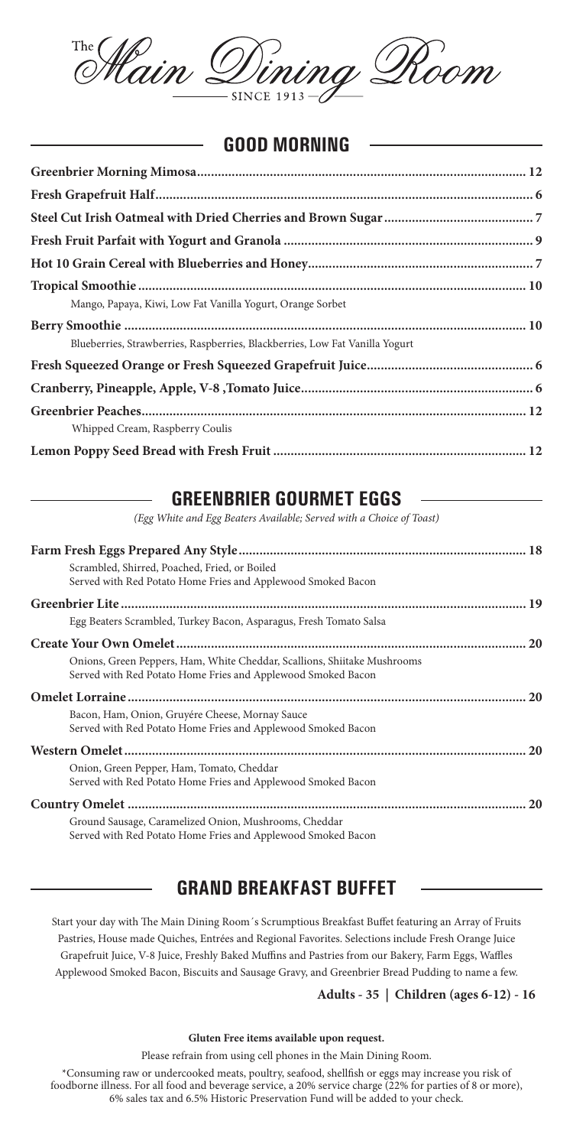

### **GOOD MORNING**

| Mango, Papaya, Kiwi, Low Fat Vanilla Yogurt, Orange Sorbet                   |  |
|------------------------------------------------------------------------------|--|
|                                                                              |  |
| Blueberries, Strawberries, Raspberries, Blackberries, Low Fat Vanilla Yogurt |  |
|                                                                              |  |
|                                                                              |  |
|                                                                              |  |
| Whipped Cream, Raspberry Coulis                                              |  |
|                                                                              |  |

### **GREENBRIER GOURMET EGGS**

*(Egg White and Egg Beaters Available; Served with a Choice of Toast)*

| Scrambled, Shirred, Poached, Fried, or Boiled                                                                                            |           |
|------------------------------------------------------------------------------------------------------------------------------------------|-----------|
| Served with Red Potato Home Fries and Applewood Smoked Bacon                                                                             |           |
|                                                                                                                                          |           |
| Egg Beaters Scrambled, Turkey Bacon, Asparagus, Fresh Tomato Salsa                                                                       |           |
|                                                                                                                                          |           |
| Onions, Green Peppers, Ham, White Cheddar, Scallions, Shiitake Mushrooms<br>Served with Red Potato Home Fries and Applewood Smoked Bacon |           |
|                                                                                                                                          |           |
| Bacon, Ham, Onion, Gruyére Cheese, Mornay Sauce<br>Served with Red Potato Home Fries and Applewood Smoked Bacon                          |           |
|                                                                                                                                          | <b>20</b> |
| Onion, Green Pepper, Ham, Tomato, Cheddar<br>Served with Red Potato Home Fries and Applewood Smoked Bacon                                |           |
|                                                                                                                                          |           |
| Ground Sausage, Caramelized Onion, Mushrooms, Cheddar<br>Served with Red Potato Home Fries and Applewood Smoked Bacon                    |           |

## **GRAND BREAKFAST BUFFET**

Start your day with The Main Dining Room´s Scrumptious Breakfast Buffet featuring an Array of Fruits Pastries, House made Quiches, Entrées and Regional Favorites. Selections include Fresh Orange Juice Grapefruit Juice, V-8 Juice, Freshly Baked Muffins and Pastries from our Bakery, Farm Eggs, Waffles Applewood Smoked Bacon, Biscuits and Sausage Gravy, and Greenbrier Bread Pudding to name a few.

#### **Adults - 35 | Children (ages 6-12) - 16**

#### **Gluten Free items available upon request.**

Please refrain from using cell phones in the Main Dining Room.

\*Consuming raw or undercooked meats, poultry, seafood, shellfish or eggs may increase you risk of foodborne illness. For all food and beverage service, a 20% service charge (22% for parties of 8 or more), 6% sales tax and 6.5% Historic Preservation Fund will be added to your check.